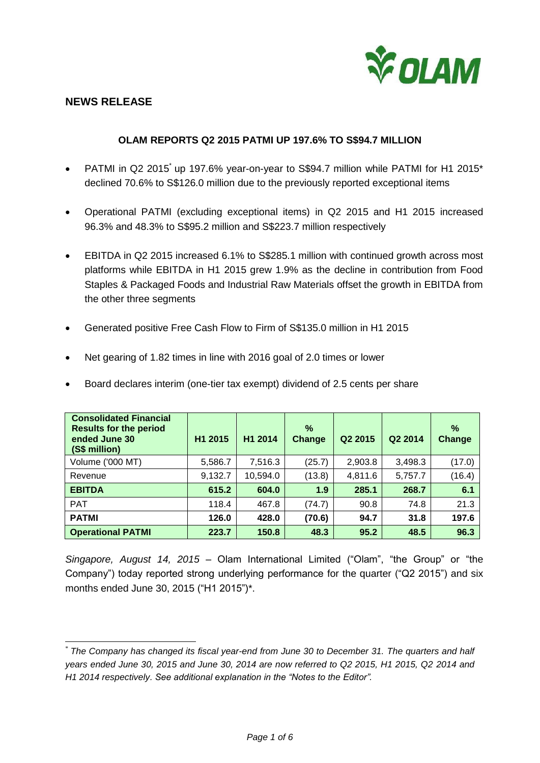

## **NEWS RELEASE**

## **OLAM REPORTS Q2 2015 PATMI UP 197.6% TO S\$94.7 MILLION**

- PATMI in Q2 2015 up 197.6% year-on-year to S\$94.7 million while PATMI for H1 2015\* declined 70.6% to S\$126.0 million due to the previously reported exceptional items
- Operational PATMI (excluding exceptional items) in Q2 2015 and H1 2015 increased 96.3% and 48.3% to S\$95.2 million and S\$223.7 million respectively
- EBITDA in Q2 2015 increased 6.1% to S\$285.1 million with continued growth across most platforms while EBITDA in H1 2015 grew 1.9% as the decline in contribution from Food Staples & Packaged Foods and Industrial Raw Materials offset the growth in EBITDA from the other three segments
- Generated positive Free Cash Flow to Firm of S\$135.0 million in H1 2015
- Net gearing of 1.82 times in line with 2016 goal of 2.0 times or lower
- Board declares interim (one-tier tax exempt) dividend of 2.5 cents per share

| <b>Consolidated Financial</b><br><b>Results for the period</b><br>ended June 30<br>(S\$ million) | H1 2015 | H1 2014  | $\%$<br><b>Change</b> | Q2 2015 | Q2 2014 | $\frac{9}{6}$<br>Change |
|--------------------------------------------------------------------------------------------------|---------|----------|-----------------------|---------|---------|-------------------------|
| Volume ('000 MT)                                                                                 | 5,586.7 | 7,516.3  | (25.7)                | 2,903.8 | 3,498.3 | (17.0)                  |
| Revenue                                                                                          | 9,132.7 | 10,594.0 | (13.8)                | 4,811.6 | 5,757.7 | (16.4)                  |
| <b>EBITDA</b>                                                                                    | 615.2   | 604.0    | 1.9                   | 285.1   | 268.7   | 6.1                     |
| <b>PAT</b>                                                                                       | 118.4   | 467.8    | (74.7)                | 90.8    | 74.8    | 21.3                    |
| <b>PATMI</b>                                                                                     | 126.0   | 428.0    | (70.6)                | 94.7    | 31.8    | 197.6                   |
| <b>Operational PATMI</b>                                                                         | 223.7   | 150.8    | 48.3                  | 95.2    | 48.5    | 96.3                    |

*Singapore, August 14, 2015 –* Olam International Limited ("Olam", "the Group" or "the Company") today reported strong underlying performance for the quarter ("Q2 2015") and six months ended June 30, 2015 ("H1 2015")\*.

<sup>1</sup> \* *The Company has changed its fiscal year-end from June 30 to December 31. The quarters and half years ended June 30, 2015 and June 30, 2014 are now referred to Q2 2015, H1 2015, Q2 2014 and H1 2014 respectively. See additional explanation in the "Notes to the Editor".*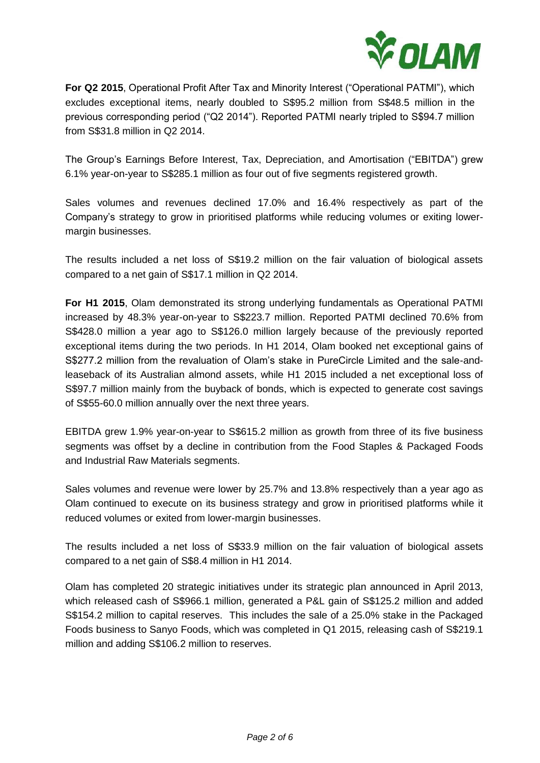

**For Q2 2015**, Operational Profit After Tax and Minority Interest ("Operational PATMI"), which excludes exceptional items, nearly doubled to S\$95.2 million from S\$48.5 million in the previous corresponding period ("Q2 2014"). Reported PATMI nearly tripled to S\$94.7 million from S\$31.8 million in Q2 2014.

The Group's Earnings Before Interest, Tax, Depreciation, and Amortisation ("EBITDA") grew 6.1% year-on-year to S\$285.1 million as four out of five segments registered growth.

Sales volumes and revenues declined 17.0% and 16.4% respectively as part of the Company's strategy to grow in prioritised platforms while reducing volumes or exiting lowermargin businesses.

The results included a net loss of S\$19.2 million on the fair valuation of biological assets compared to a net gain of S\$17.1 million in Q2 2014.

**For H1 2015**, Olam demonstrated its strong underlying fundamentals as Operational PATMI increased by 48.3% year-on-year to S\$223.7 million. Reported PATMI declined 70.6% from S\$428.0 million a year ago to S\$126.0 million largely because of the previously reported exceptional items during the two periods. In H1 2014, Olam booked net exceptional gains of S\$277.2 million from the revaluation of Olam's stake in PureCircle Limited and the sale-andleaseback of its Australian almond assets, while H1 2015 included a net exceptional loss of S\$97.7 million mainly from the buyback of bonds, which is expected to generate cost savings of S\$55-60.0 million annually over the next three years.

EBITDA grew 1.9% year-on-year to S\$615.2 million as growth from three of its five business segments was offset by a decline in contribution from the Food Staples & Packaged Foods and Industrial Raw Materials segments.

Sales volumes and revenue were lower by 25.7% and 13.8% respectively than a year ago as Olam continued to execute on its business strategy and grow in prioritised platforms while it reduced volumes or exited from lower-margin businesses.

The results included a net loss of S\$33.9 million on the fair valuation of biological assets compared to a net gain of S\$8.4 million in H1 2014.

Olam has completed 20 strategic initiatives under its strategic plan announced in April 2013, which released cash of S\$966.1 million, generated a P&L gain of S\$125.2 million and added S\$154.2 million to capital reserves. This includes the sale of a 25.0% stake in the Packaged Foods business to Sanyo Foods, which was completed in Q1 2015, releasing cash of S\$219.1 million and adding S\$106.2 million to reserves.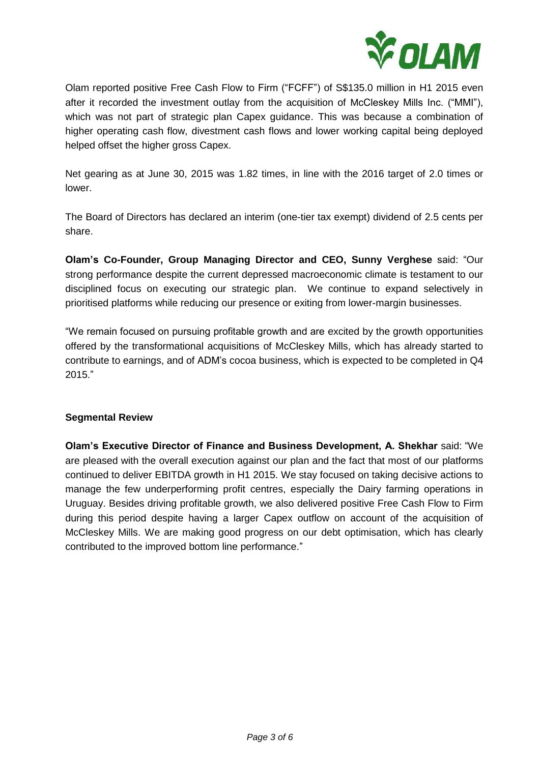

Olam reported positive Free Cash Flow to Firm ("FCFF") of S\$135.0 million in H1 2015 even after it recorded the investment outlay from the acquisition of McCleskey Mills Inc. ("MMI"), which was not part of strategic plan Capex guidance. This was because a combination of higher operating cash flow, divestment cash flows and lower working capital being deployed helped offset the higher gross Capex.

Net gearing as at June 30, 2015 was 1.82 times, in line with the 2016 target of 2.0 times or lower.

The Board of Directors has declared an interim (one-tier tax exempt) dividend of 2.5 cents per share.

**Olam's Co-Founder, Group Managing Director and CEO, Sunny Verghese** said: "Our strong performance despite the current depressed macroeconomic climate is testament to our disciplined focus on executing our strategic plan. We continue to expand selectively in prioritised platforms while reducing our presence or exiting from lower-margin businesses.

"We remain focused on pursuing profitable growth and are excited by the growth opportunities offered by the transformational acquisitions of McCleskey Mills, which has already started to contribute to earnings, and of ADM's cocoa business, which is expected to be completed in Q4 2015."

## **Segmental Review**

**Olam's Executive Director of Finance and Business Development, A. Shekhar** said: "We are pleased with the overall execution against our plan and the fact that most of our platforms continued to deliver EBITDA growth in H1 2015. We stay focused on taking decisive actions to manage the few underperforming profit centres, especially the Dairy farming operations in Uruguay. Besides driving profitable growth, we also delivered positive Free Cash Flow to Firm during this period despite having a larger Capex outflow on account of the acquisition of McCleskey Mills. We are making good progress on our debt optimisation, which has clearly contributed to the improved bottom line performance."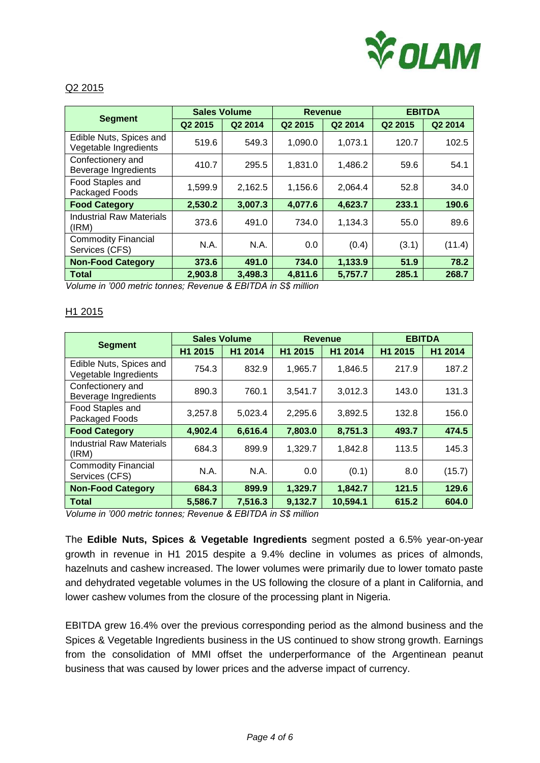

## Q2 2015

| <b>Segment</b>                                   | <b>Sales Volume</b> |         | Revenue |         | <b>EBITDA</b>       |         |
|--------------------------------------------------|---------------------|---------|---------|---------|---------------------|---------|
|                                                  | Q2 2015             | Q2 2014 | Q2 2015 | Q2 2014 | Q <sub>2</sub> 2015 | Q2 2014 |
| Edible Nuts, Spices and<br>Vegetable Ingredients | 519.6               | 549.3   | 1,090.0 | 1,073.1 | 120.7               | 102.5   |
| Confectionery and<br>Beverage Ingredients        | 410.7               | 295.5   | 1,831.0 | 1,486.2 | 59.6                | 54.1    |
| Food Staples and<br>Packaged Foods               | 1,599.9             | 2,162.5 | 1,156.6 | 2,064.4 | 52.8                | 34.0    |
| <b>Food Category</b>                             | 2,530.2             | 3,007.3 | 4,077.6 | 4,623.7 | 233.1               | 190.6   |
| <b>Industrial Raw Materials</b><br>(IRM)         | 373.6               | 491.0   | 734.0   | 1,134.3 | 55.0                | 89.6    |
| <b>Commodity Financial</b><br>Services (CFS)     | N.A.                | N.A.    | 0.0     | (0.4)   | (3.1)               | (11.4)  |
| <b>Non-Food Category</b>                         | 373.6               | 491.0   | 734.0   | 1,133.9 | 51.9                | 78.2    |
| <b>Total</b>                                     | 2,903.8             | 3,498.3 | 4,811.6 | 5,757.7 | 285.1               | 268.7   |

*Volume in '000 metric tonnes; Revenue & EBITDA in S\$ million*

#### H1 2015

| <b>Segment</b>                                   | <b>Sales Volume</b> |         | <b>Revenue</b> |          | <b>EBITDA</b> |         |
|--------------------------------------------------|---------------------|---------|----------------|----------|---------------|---------|
|                                                  | H <sub>1</sub> 2015 | H1 2014 | H1 2015        | H1 2014  | H1 2015       | H1 2014 |
| Edible Nuts, Spices and<br>Vegetable Ingredients | 754.3               | 832.9   | 1.965.7        | 1,846.5  | 217.9         | 187.2   |
| Confectionery and<br>Beverage Ingredients        | 890.3               | 760.1   | 3,541.7        | 3,012.3  | 143.0         | 131.3   |
| Food Staples and<br>Packaged Foods               | 3,257.8             | 5,023.4 | 2,295.6        | 3,892.5  | 132.8         | 156.0   |
| <b>Food Category</b>                             | 4,902.4             | 6,616.4 | 7,803.0        | 8,751.3  | 493.7         | 474.5   |
| <b>Industrial Raw Materials</b><br>(IRM)         | 684.3               | 899.9   | 1,329.7        | 1,842.8  | 113.5         | 145.3   |
| <b>Commodity Financial</b><br>Services (CFS)     | N.A.                | N.A.    | 0.0            | (0.1)    | 8.0           | (15.7)  |
| <b>Non-Food Category</b>                         | 684.3               | 899.9   | 1,329.7        | 1,842.7  | 121.5         | 129.6   |
| <b>Total</b>                                     | 5,586.7             | 7,516.3 | 9,132.7        | 10,594.1 | 615.2         | 604.0   |

*Volume in '000 metric tonnes; Revenue & EBITDA in S\$ million*

The **Edible Nuts, Spices & Vegetable Ingredients** segment posted a 6.5% year-on-year growth in revenue in H1 2015 despite a 9.4% decline in volumes as prices of almonds, hazelnuts and cashew increased. The lower volumes were primarily due to lower tomato paste and dehydrated vegetable volumes in the US following the closure of a plant in California, and lower cashew volumes from the closure of the processing plant in Nigeria.

EBITDA grew 16.4% over the previous corresponding period as the almond business and the Spices & Vegetable Ingredients business in the US continued to show strong growth. Earnings from the consolidation of MMI offset the underperformance of the Argentinean peanut business that was caused by lower prices and the adverse impact of currency.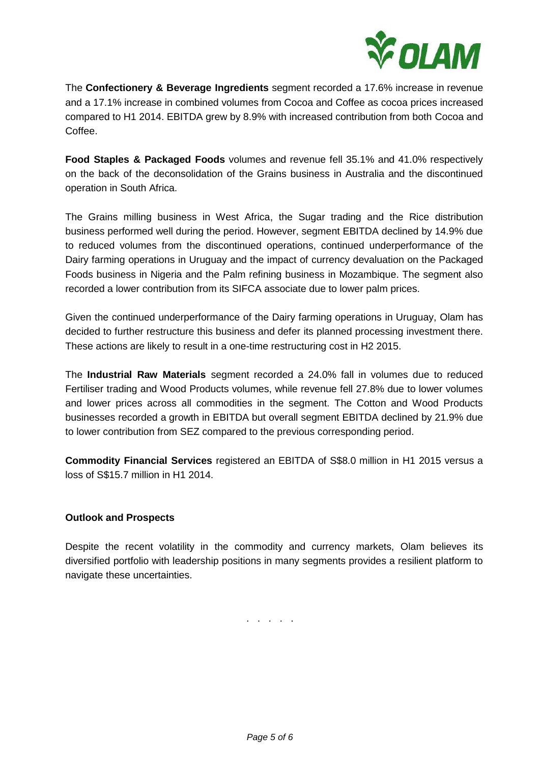

The **Confectionery & Beverage Ingredients** segment recorded a 17.6% increase in revenue and a 17.1% increase in combined volumes from Cocoa and Coffee as cocoa prices increased compared to H1 2014. EBITDA grew by 8.9% with increased contribution from both Cocoa and Coffee.

**Food Staples & Packaged Foods** volumes and revenue fell 35.1% and 41.0% respectively on the back of the deconsolidation of the Grains business in Australia and the discontinued operation in South Africa.

The Grains milling business in West Africa, the Sugar trading and the Rice distribution business performed well during the period. However, segment EBITDA declined by 14.9% due to reduced volumes from the discontinued operations, continued underperformance of the Dairy farming operations in Uruguay and the impact of currency devaluation on the Packaged Foods business in Nigeria and the Palm refining business in Mozambique. The segment also recorded a lower contribution from its SIFCA associate due to lower palm prices.

Given the continued underperformance of the Dairy farming operations in Uruguay, Olam has decided to further restructure this business and defer its planned processing investment there. These actions are likely to result in a one-time restructuring cost in H2 2015.

The **Industrial Raw Materials** segment recorded a 24.0% fall in volumes due to reduced Fertiliser trading and Wood Products volumes, while revenue fell 27.8% due to lower volumes and lower prices across all commodities in the segment. The Cotton and Wood Products businesses recorded a growth in EBITDA but overall segment EBITDA declined by 21.9% due to lower contribution from SEZ compared to the previous corresponding period.

**Commodity Financial Services** registered an EBITDA of S\$8.0 million in H1 2015 versus a loss of S\$15.7 million in H1 2014.

# **Outlook and Prospects**

Despite the recent volatility in the commodity and currency markets, Olam believes its diversified portfolio with leadership positions in many segments provides a resilient platform to navigate these uncertainties.

. . . . .